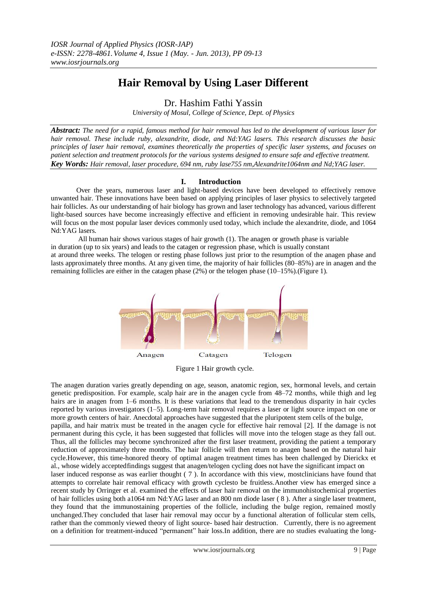# **Hair Removal by Using Laser Different**

Dr. Hashim Fathi Yassin

*University of Mosul, College of Science, Dept. of Physics*

*Abstract: The need for a rapid, famous method for hair removal has led to the development of various laser for hair removal. These include ruby, alexandrite, diode, and Nd:YAG lasers. This research discusses the basic principles of laser hair removal, examines theoretically the properties of specific laser systems, and focuses on patient selection and treatment protocols for the various systems designed to ensure safe and effective treatment. Key Words: Hair removal, laser procedure, 694 nm, ruby lase755 nm,Alexandrite1064nm and Nd;YAG laser.*

## **I. Introduction**

 Over the years, numerous laser and light-based devices have been developed to effectively remove unwanted hair. These innovations have been based on applying principles of laser physics to selectively targeted hair follicles. As our understanding of hair biology has grown and laser technology has advanced, various different light-based sources have become increasingly effective and efficient in removing undesirable hair. This review will focus on the most popular laser devices commonly used today, which include the alexandrite, diode, and 1064 Nd:YAG lasers.

All human hair shows various stages of hair growth (1). The anagen or growth phase is variable in duration (up to six years) and leads to the catagen or regression phase, which is usually constant at around three weeks. The telogen or resting phase follows just prior to the resumption of the anagen phase and lasts approximately three months. At any given time, the majority of hair follicles (80–85%) are in anagen and the

remaining follicles are either in the catagen phase (2%) or the telogen phase (10–15%).(Figure 1).



Figure 1 Hair growth cycle.

The anagen duration varies greatly depending on age, season, anatomic region, sex, hormonal levels, and certain genetic predisposition. For example, scalp hair are in the anagen cycle from 48–72 months, while thigh and leg hairs are in anagen from 1–6 months. It is these variations that lead to the tremendous disparity in hair cycles reported by various investigators (1–5). Long-term hair removal requires a laser or light source impact on one or more growth centers of hair. Anecdotal approaches have suggested that the pluripotent stem cells of the bulge, papilla, and hair matrix must be treated in the anagen cycle for effective hair removal [2]. If the damage is not permanent during this cycle, it has been suggested that follicles will move into the telogen stage as they fall out. Thus, all the follicles may become synchronized after the first laser treatment, providing the patient a temporary reduction of approximately three months. The hair follicle will then return to anagen based on the natural hair cycle.However, this time-honored theory of optimal anagen treatment times has been challenged by Dierickx et al., whose widely acceptedfindings suggest that anagen/telogen cycling does not have the significant impact on laser induced response as was earlier thought ( 7 ). In accordance with this view, mostclinicians have found that attempts to correlate hair removal efficacy with growth cyclesto be fruitless.Another view has emerged since a recent study by Orringer et al. examined the effects of laser hair removal on the immunohistochemical properties of hair follicles using both a1064 nm Nd:YAG laser and an 800 nm diode laser ( 8 ). After a single laser treatment, they found that the immunostaining properties of the follicle, including the bulge region, remained mostly unchanged.They concluded that laser hair removal may occur by a functional alteration of follicular stem cells, rather than the commonly viewed theory of light source- based hair destruction. Currently, there is no agreement on a definition for treatment-induced "permanent" hair loss.In addition, there are no studies evaluating the long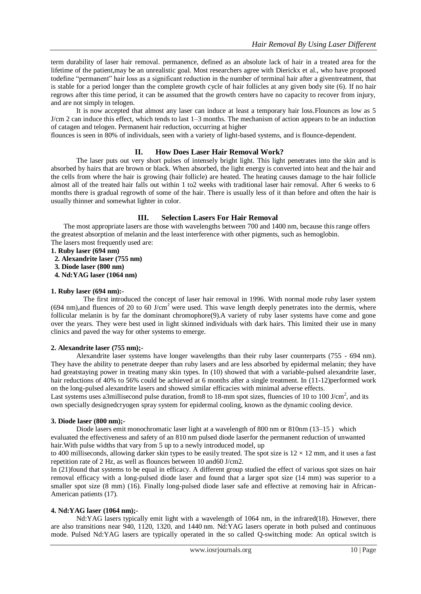term durability of laser hair removal. permanence, defined as an absolute lack of hair in a treated area for the lifetime of the patient,may be an unrealistic goal. Most researchers agree with Dierickx et al., who have proposed todefine "permanent" hair loss as a significant reduction in the number of terminal hair after a giventreatment, that is stable for a period longer than the complete growth cycle of hair follicles at any given body site (6). If no hair regrows after this time period, it can be assumed that the growth centers have no capacity to recover from injury, and are not simply in telogen.

It is now accepted that almost any laser can induce at least a temporary hair loss.Flounces as low as 5 J/cm 2 can induce this effect, which tends to last 1–3 months. The mechanism of action appears to be an induction of catagen and telogen. Permanent hair reduction, occurring at higher

flounces is seen in 80% of individuals, seen with a variety of light-based systems, and is flounce-dependent.

#### **II. How Does Laser Hair Removal Work?**

The laser puts out very short pulses of intensely bright light. This light penetrates into the skin and is absorbed by hairs that are brown or black. When absorbed, the light energy is converted into heat and the hair and the cells from where the hair is growing (hair follicle) are heated. The heating causes damage to the hair follicle almost all of the treated hair falls out within 1 to2 weeks with traditional laser hair removal. After 6 weeks to 6 months there is gradual regrowth of some of the hair. There is usually less of it than before and often the hair is usually thinner and somewhat lighter in color.

### **III. Selection Lasers For Hair Removal**

The most appropriate lasers are those with wavelengths between 700 and 1400 nm, because this range offers the greatest absorption of melanin and the least interference with other pigments, such as hemoglobin. The lasers most frequently used are:

- **1. Ruby laser (694 nm)**
- **2. Alexandrite laser (755 nm)**
- **3. Diode laser (800 nm)**
- **4. Nd:YAG laser (1064 nm)**

#### **1. Ruby laser (694 nm):-**

 The first introduced the concept of laser hair removal in 1996. With normal mode ruby laser system (694 nm),and fluences of 20 to 60 J/cm<sup>2</sup> were used. This wave length deeply penetrates into the dermis, where follicular melanin is by far the dominant chromophore(9).A variety of ruby laser systems have come and gone over the years. They were best used in light skinned individuals with dark hairs. This limited their use in many clinics and paved the way for other systems to emerge.

#### **2. Alexandrite laser (755 nm);-**

Alexandrite laser systems have longer wavelengths than their ruby laser counterparts (755 - 694 nm). They have the ability to penetrate deeper than ruby lasers and are less absorbed by epidermal melanin; they have had greatstaying power in treating many skin types. In (10) showed that with a variable-pulsed alexandrite laser, hair reductions of 40% to 56% could be achieved at 6 months after a single treatment. In (11-12)performed work on the long-pulsed alexandrite lasers and showed similar efficacies with minimal adverse effects.

Last systems uses a3millisecond pulse duration, from8 to 18-mm spot sizes, fluencies of 10 to 100 J/cm<sup>2</sup>, and its own specially designedcryogen spray system for epidermal cooling, known as the dynamic cooling device.

#### **3. Diode laser (800 nm);-**

Diode lasers emit monochromatic laser light at a wavelength of 800 nm or 810nm (13–15) which evaluated the effectiveness and safety of an 810 nm pulsed diode laserfor the permanent reduction of unwanted hair.With pulse widths that vary from 5 up to a newly introduced model, up

to 400 milliseconds, allowing darker skin types to be easily treated. The spot size is  $12 \times 12$  mm, and it uses a fast repetition rate of 2 Hz, as well as flounces between 10 and60 J/cm2.

In (21)found that systems to be equal in efficacy. A different group studied the effect of various spot sizes on hair removal efficacy with a long-pulsed diode laser and found that a larger spot size (14 mm) was superior to a smaller spot size (8 mm) (16). Finally long-pulsed diode laser safe and effective at removing hair in African-American patients (17).

#### **4. Nd:YAG laser (1064 nm);-**

Nd:YAG lasers typically emit light with a [wavelength](http://en.wikipedia.org/wiki/Wavelength) of 1064 [nm,](http://en.wikipedia.org/wiki/Nanometer) in the [infrared\(](http://en.wikipedia.org/wiki/Infrared)18). However, there are also transitions near 940, 1120, 1320, and 1440 nm. Nd:YAG lasers operate in both pulsed and continuous mode. Pulsed Nd:YAG lasers are typically operated in the so called [Q-switching](http://en.wikipedia.org/wiki/Q-switching) mode: An optical switch is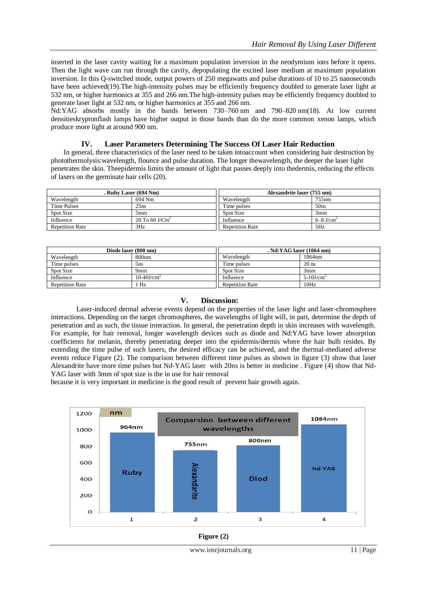inserted in the laser cavity waiting for a maximum [population inversion](http://en.wikipedia.org/wiki/Population_inversion) in the neodymium ions before it opens. Then the light wave can run through the cavity, depopulating the excited laser medium at maximum population inversion. In this Q-switched mode, output powers of 250 megawatts and pulse durations of 10 to 25 nanoseconds have been achieved(19). The high-intensity pulses may be efficiently [frequency doubled](http://en.wikipedia.org/wiki/Second_harmonic_generation) to generate laser light at 532 nm, or higher harmonics at 355 and 266 nm.The high-intensity pulses may be efficiently [frequency doubled](http://en.wikipedia.org/wiki/Second_harmonic_generation) to generate laser light at 532 nm, or higher harmonics at 355 and 266 nm.

Nd:YAG absorbs mostly in the bands between 730–760 nm and 790–820 nm(18). At low [current](http://en.wikipedia.org/wiki/Current_density)  [densitieskryptonf](http://en.wikipedia.org/wiki/Current_density)lash lamps have higher output in those bands than do the more common [xenon](http://en.wikipedia.org/wiki/Xenon) lamps, which produce more light at around 900 nm.

#### **IV. Laser Parameters Determining The Success Of Laser Hair Reduction**

In general, three characteristics of the laser need to be taken intoaccount when considering hair destruction by photothermolysis:wavelength, flounce and pulse duration. The longer thewavelength, the deeper the laser light penetrates the skin. Theepidermis limits the amount of light that passes deeply into thedermis, reducing the effects of lasers on the germinate hair cells (20).

| . Ruby Laser (694 Nm)  |                            | Alexandrite laser (755 nm) |                           |
|------------------------|----------------------------|----------------------------|---------------------------|
| Wavelength             | 694 Nm                     | Wavelength                 | 755nm                     |
| Time Pulses            | 25ns                       | Time pulses                | 50ns                      |
| Spot Size              | 5mm                        | Spot Size                  | 3mm                       |
| Influence              | 20 To 60 J/Cm <sup>2</sup> | Influence                  | $6 - 8$ J/cm <sup>2</sup> |
| <b>Repetition Rate</b> | 3Hz                        | <b>Repetition Rate</b>     | 5Hz                       |

| Diode laser (800 nm)   |                           | . Nd:YAG laser (1064 nm) |                          |
|------------------------|---------------------------|--------------------------|--------------------------|
| Wavelength             | 800 <sub>nm</sub>         | Wavelength               | 1064nm                   |
| Time pulses            | 5 <sub>ns</sub>           | Time pulses              | $20$ ns                  |
| Spot Size              | 9 <sub>mm</sub>           | Spot Size                | 3mm                      |
| Influence              | $10-40$ J/cm <sup>2</sup> | Influence                | $5-10$ J/cm <sup>2</sup> |
| <b>Repetition Rate</b> | Hz                        | <b>Repetition Rate</b>   | 10Hz                     |

#### **V. Discussion:**

Laser-induced dermal adverse events depend on the properties of the laser light and laser-chromosphere interactions. Depending on the target chromospheres, the wavelengths of light will, in part, determine the depth of penetration and as such, the tissue interaction. In general, the penetration depth in skin increases with wavelength. For example, for hair removal, longer wavelength devices such as diode and Nd:YAG have lower absorption coefficients for melanin, thereby penetrating deeper into the epidermis/dermis where the hair bulb resides. By extending the time pulse of such lasers, the desired efficacy can be achieved, and the thermal-mediated adverse events reduce Figure (2). The comparison between different time pulses as shown in figure (3) show that laser Alexandrite have more time pulses but Nd-YAG laser with 20ns is better in medicine . Figure (4) show that Nd-YAG laser with 3mm of spot size is the in use for hair removal

because it is very important in medicine is the good result of prevent hair growth again.



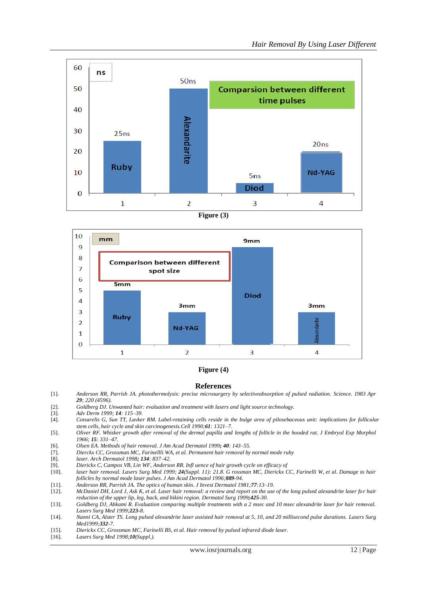

**Figure (3)**



#### **Figure (4)**

#### **References**

- [1]. *Anderson RR, Parrish JA. photothermolysis: precise microsurgery by selectiveabsorption of pulsed radiation. Science. 1983 Apr 29; 220 (4596).*
- [2]. *Goldberg DJ. Unwanted hair: evaluation and treatment with lasers and light source technology.*
- 
- [3]. *Adv Derm 1999; 14: 115–39.* [4]. *Cotsarelis G, Sun TT, Lavker RM. Label-retaining cells reside in the bulge area of pilosebaceous unit: implications for follicular stem cells, hair cycle and skin carcinogenesis.Cell 1990;61: 1321–7.*
- [5]. *Oliver RF. Whisker growth after removal of the dermal papilla and lengths of follicle in the hooded rat. J Embryol Exp Morphol 1966; 15: 331–47.*
- [6]. *Olsen EA. Methods of hair removal. J Am Acad Dermatol 1999; 40: 143–55.*
- [7]. *Dierckx CC, Grossman MC, Farinellli WA, et al. Permanent hair removal by normal mode ruby*
- [8]. *laser. Arch Dermatol 1998; 134: 837–42.*
- 
- [9]. *Dierickx C, Campos VB, Lin WF, Anderson RR. Infl uence of hair growth cycle on efficacy of* [10]. *laser hair removal. Lasers Surg Med 1999; 24(Suppl. 11): 21.8. G rossman MC, Dierickx CC, Farinelli W, et al. Damage to hair follicles by normal mode laser pulses. J Am Acad Dermatol 1996;889-94.*
- [11]. *Anderson RR, Parrish JA. The optics of human skin. J Invest Dermatol 1981;77:13–19.*
- [12]. *McDaniel DH, Lord J, Ask K, et al. Laser hair removal: a review and report on the use of the long pulsed alexandrite laser for hair reduction of the upper lip, leg, back, and bikini region. Dermatol Surg 1999;425-30.*
- [13]. *Goldberg DJ, Ahkami R. Evaluation comparing multiple treatments with a 2 msec and 10 msec alexandrite laser for hair removal. Lasers Surg Med 1999;223-8.*
- [14]. *Nanni CA, Alster TS. Long pulsed alexandrite laser assisted hair removal at 5, 10, and 20 millisecond pulse durations. Lasers Surg Med1999;332-7.*
- [15]. *Dierickx CC, Grossman MC, Farinelli BS, et al. Hair removal by pulsed infrared diode laser.*
- [16]. *Lasers Surg Med 1998;10(Suppl.).*